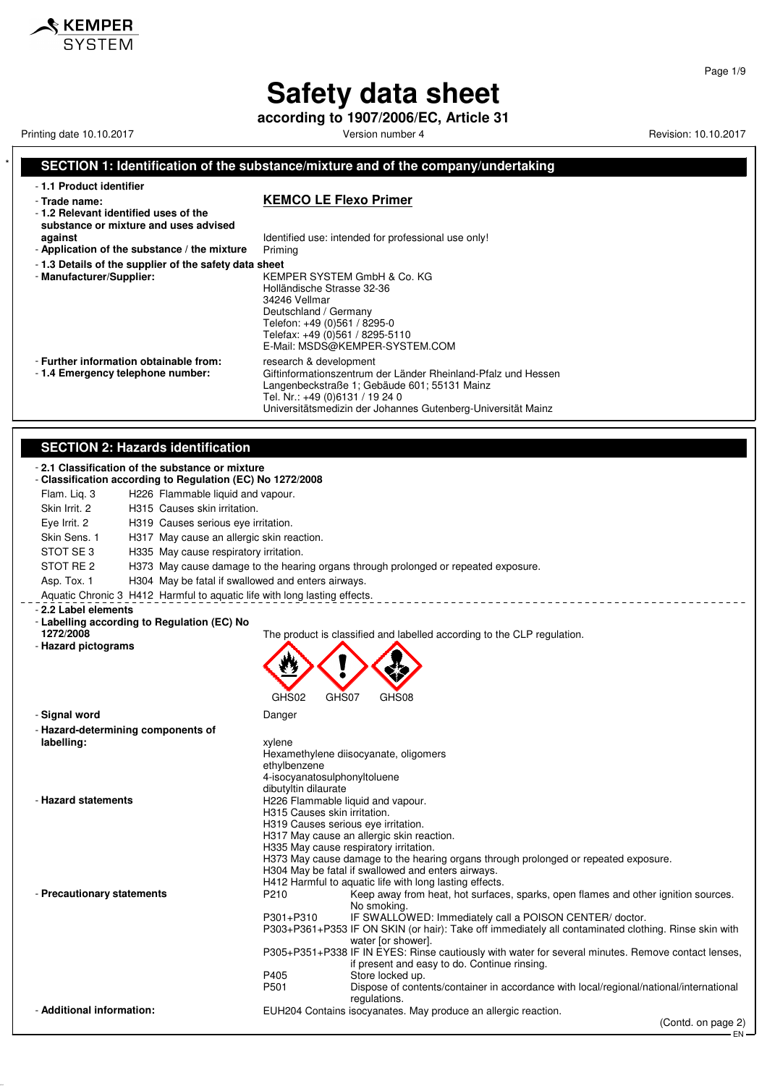**according to 1907/2006/EC, Article 31**

Printing date 10.10.2017 **Version number 4** Version number 4 Revision: 10.10.2017

**SKEMPER** SYSTEM

(Contd. on page 2)

EN

Page 1/9

#### **SECTION 1: Identification of the substance/mixture and of the company/undertaking**

- **1.1 Product identifier**

#### - **Trade name: KEMCO LE Flexo Primer**

- **1.2 Relevant identified uses of the substance or mixture and uses advised**

- Application of the substance / the mixture
- **1.3 Details of the supplier of the safety data sheet**
- 

**against against Identified use: intended for professional use only!**<br>**Application of the substance / the mixture** Priming

- **Manufacturer/Supplier:** KEMPER SYSTEM GmbH & Co. KG Holländische Strasse 32-36 34246 Vellmar Deutschland / Germany Telefon: +49 (0)561 / 8295-0 Telefax: +49 (0)561 / 8295-5110 E-Mail: MSDS@KEMPER-SYSTEM.COM

- **Further information obtainable from:** research & development - 1.4 **Emergency telephone number:** Giftinformationszentrum

Giftinformationszentrum der Länder Rheinland-Pfalz und Hessen Langenbeckstraße 1; Gebäude 601; 55131 Mainz

#### Tel. Nr.: +49 (0)6131 / 19 24 0 Universitätsmedizin der Johannes Gutenberg-Universität Mainz

#### **SECTION 2: Hazards identification**

|                                    | <b>SLCTION 2. Hazards Identification</b>                                                                      |       |                                                                                                                                                                |
|------------------------------------|---------------------------------------------------------------------------------------------------------------|-------|----------------------------------------------------------------------------------------------------------------------------------------------------------------|
|                                    | -2.1 Classification of the substance or mixture<br>- Classification according to Regulation (EC) No 1272/2008 |       |                                                                                                                                                                |
| Flam. Lig. 3                       | H226 Flammable liquid and vapour.                                                                             |       |                                                                                                                                                                |
| Skin Irrit, 2                      | H315 Causes skin irritation.                                                                                  |       |                                                                                                                                                                |
| Eye Irrit. 2                       | H319 Causes serious eye irritation.                                                                           |       |                                                                                                                                                                |
| Skin Sens. 1                       | H317 May cause an allergic skin reaction.                                                                     |       |                                                                                                                                                                |
| STOT SE 3                          | H335 May cause respiratory irritation.                                                                        |       |                                                                                                                                                                |
| STOT RE 2                          |                                                                                                               |       | H373 May cause damage to the hearing organs through prolonged or repeated exposure.                                                                            |
| Asp. Tox. 1                        | H304 May be fatal if swallowed and enters airways.                                                            |       |                                                                                                                                                                |
|                                    | Aquatic Chronic 3 H412 Harmful to aquatic life with long lasting effects.                                     |       |                                                                                                                                                                |
| - 2.2 Label elements               |                                                                                                               |       |                                                                                                                                                                |
|                                    | - Labelling according to Regulation (EC) No                                                                   |       |                                                                                                                                                                |
| 1272/2008                          |                                                                                                               |       | The product is classified and labelled according to the CLP regulation.                                                                                        |
| - Hazard pictograms                |                                                                                                               |       |                                                                                                                                                                |
|                                    |                                                                                                               |       |                                                                                                                                                                |
|                                    |                                                                                                               |       |                                                                                                                                                                |
|                                    | GHS02                                                                                                         | GHS07 | GHS08                                                                                                                                                          |
| - Signal word                      | Danger                                                                                                        |       |                                                                                                                                                                |
| - Hazard-determining components of |                                                                                                               |       |                                                                                                                                                                |
| labelling:                         | xylene                                                                                                        |       |                                                                                                                                                                |
|                                    |                                                                                                               |       | Hexamethylene diisocyanate, oligomers                                                                                                                          |
|                                    | ethylbenzene                                                                                                  |       |                                                                                                                                                                |
|                                    | 4-isocyanatosulphonyltoluene                                                                                  |       |                                                                                                                                                                |
| - Hazard statements                | dibutyltin dilaurate<br>H226 Flammable liquid and vapour.                                                     |       |                                                                                                                                                                |
|                                    | H315 Causes skin irritation.                                                                                  |       |                                                                                                                                                                |
|                                    | H319 Causes serious eye irritation.                                                                           |       |                                                                                                                                                                |
|                                    |                                                                                                               |       | H317 May cause an allergic skin reaction.                                                                                                                      |
|                                    |                                                                                                               |       | H335 May cause respiratory irritation.                                                                                                                         |
|                                    |                                                                                                               |       | H373 May cause damage to the hearing organs through prolonged or repeated exposure.<br>H304 May be fatal if swallowed and enters airways.                      |
|                                    |                                                                                                               |       | H412 Harmful to aquatic life with long lasting effects.                                                                                                        |
| - Precautionary statements         | P210                                                                                                          |       | Keep away from heat, hot surfaces, sparks, open flames and other ignition sources.                                                                             |
|                                    |                                                                                                               |       | No smoking.                                                                                                                                                    |
|                                    | P301+P310                                                                                                     |       | IF SWALLOWED: Immediately call a POISON CENTER/doctor.<br>P303+P361+P353 IF ON SKIN (or hair): Take off immediately all contaminated clothing. Rinse skin with |
|                                    |                                                                                                               |       | water [or shower].                                                                                                                                             |
|                                    |                                                                                                               |       | P305+P351+P338 IF IN EYES: Rinse cautiously with water for several minutes. Remove contact lenses,                                                             |
|                                    |                                                                                                               |       | if present and easy to do. Continue rinsing.                                                                                                                   |
|                                    | P405                                                                                                          |       | Store locked up.                                                                                                                                               |
|                                    | P501                                                                                                          |       | Dispose of contents/container in accordance with local/regional/national/international<br>regulations.                                                         |
| - Additional information:          |                                                                                                               |       | EUH204 Contains isocyanates. May produce an allergic reaction.                                                                                                 |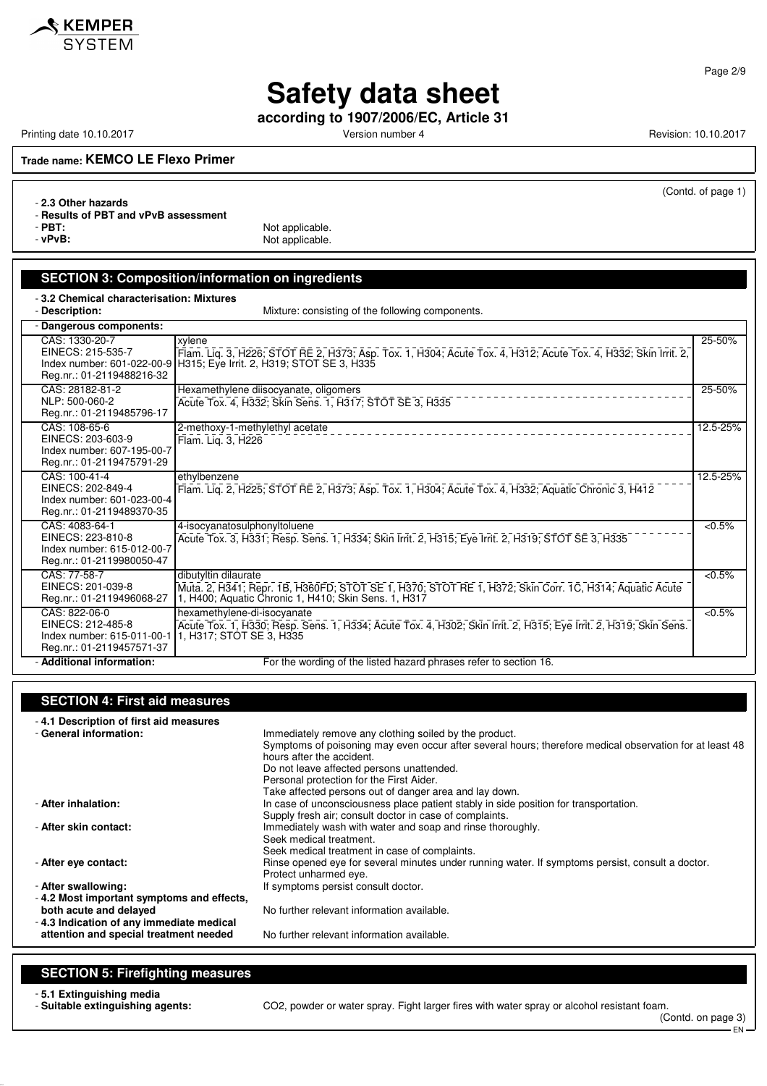

Page 2/9

## **Safety data sheet**

**according to 1907/2006/EC, Article 31**

Printing date 10.10.2017 **Version number 4 Version number 4** Revision: 10.10.2017

(Contd. of page 1)

**Trade name: KEMCO LE Flexo Primer**

- **2.3 Other hazards**

- **Results of PBT and vPvB assessment**

- **PBT:**<br>
PV**PVB:**<br>
PVPVB: Not applicable.

**SECTION 3: Composition/information on ingredients** - **3.2 Chemical characterisation: Mixtures**

| - Description:                                                                                 | Mixture: consisting of the following components.                                                                                                                                                 |           |
|------------------------------------------------------------------------------------------------|--------------------------------------------------------------------------------------------------------------------------------------------------------------------------------------------------|-----------|
| - Dangerous components:                                                                        |                                                                                                                                                                                                  |           |
| CAS: 1330-20-7<br>EINECS: 215-535-7<br>Reg.nr.: 01-2119488216-32                               | xylene<br>Flam. Liq. 3, H226, STOT RE 2, H373, Asp. Tox. 1, H304, Acute Tox. 4, H312, Acute Tox. 4, H332, Skin Irrit. 2,<br>Index number: 601-022-00-9 H315; Eye Irrit. 2, H319; STOT SE 3, H335 | 25-50%    |
| CAS: 28182-81-2<br>NLP: 500-060-2<br>Reg.nr.: 01-2119485796-17                                 | Hexamethylene diisocyanate, oligomers<br>Acute Tox. 4, H332; Skin Sens. 1, H317; STOT SE 3, H335                                                                                                 | 25-50%    |
| CAS: 108-65-6<br>EINECS: 203-603-9<br>Index number: 607-195-00-7<br>Reg.nr.: 01-2119475791-29  | 2-methoxy-1-methylethyl acetate<br>Flam. Liq. 3, H226                                                                                                                                            | 12.5-25%  |
| CAS: 100-41-4<br>EINECS: 202-849-4<br>Index number: 601-023-00-4<br>Reg.nr.: 01-2119489370-35  | ethylbenzene<br>Flam. Lig. 2, H225, STOT RE 2, H373, Asp. Tox. 1, H304, Acute Tox. 4, H332, Aquatic Chronic 3, H412                                                                              | 12.5-25%  |
| CAS: 4083-64-1<br>EINECS: 223-810-8<br>Index number: 615-012-00-7<br>Reg.nr.: 01-2119980050-47 | 4-isocyanatosulphonyltoluene<br>Acute Tox. 3, H331; Resp. Sens. 1, H334; Skin Irrit. 2, H315; Eye Irrit. 2, H319; STOT SE 3, H335                                                                | $< 0.5\%$ |
| CAS: 77-58-7<br>EINECS: 201-039-8<br>Reg.nr.: 01-2119496068-27                                 | dibutyltin dilaurate<br>Muta. 2, H341; Repr. 1B, H360FD; STOT SE 1, H370; STOT RE 1, H372; Skin Corr. 1C, H314; Aquatic Acute<br>1, H400; Aquatic Chronic 1, H410; Skin Sens. 1, H317            | $< 0.5\%$ |
| CAS: 822-06-0<br>EINECS: 212-485-8<br>Index number: 615-011-00-1<br>Reg.nr.: 01-2119457571-37  | hexamethylene-di-isocyanate<br>Acute Tox. 1, H330; Resp. Sens. 1, H334; Acute Tox. 4, H302; Skin Irrit. 2, H315; Eye Irrit. 2, H319; Skin Sens.<br>1, H317; STOT SE 3, H335                      | $< 0.5\%$ |
| - Additional information:                                                                      | For the wording of the listed hazard phrases refer to section 16.                                                                                                                                |           |

### **SECTION 4: First aid measures**

- **4.1 Description of first aid measures** - **General information:** Immediately remove any clothing soiled by the product. Symptoms of poisoning may even occur after several hours; therefore medical observation for at least 48 hours after the accident. Do not leave affected persons unattended. Personal protection for the First Aider. Take affected persons out of danger area and lay down. - **After inhalation:** In case of unconsciousness place patient stably in side position for transportation. Supply fresh air; consult doctor in case of complaints. - **After skin contact:** Immediately wash with water and soap and rinse thoroughly. Seek medical treatment. Seek medical treatment in case of complaints. - After eye contact: **Rinse opened eye for several minutes under running water. If symptoms persist, consult a doctor.** Protect unharmed eye. - **After swallowing: If symptoms persist consult doctor.** - **4.2 Most important symptoms and effects,** No further relevant information available. - **4.3 Indication of any immediate medical attention and special treatment needed** No further relevant information available.

#### **SECTION 5: Firefighting measures**

- **5.1 Extinguishing media**

CO2, powder or water spray. Fight larger fires with water spray or alcohol resistant foam.

(Contd. on page 3) EN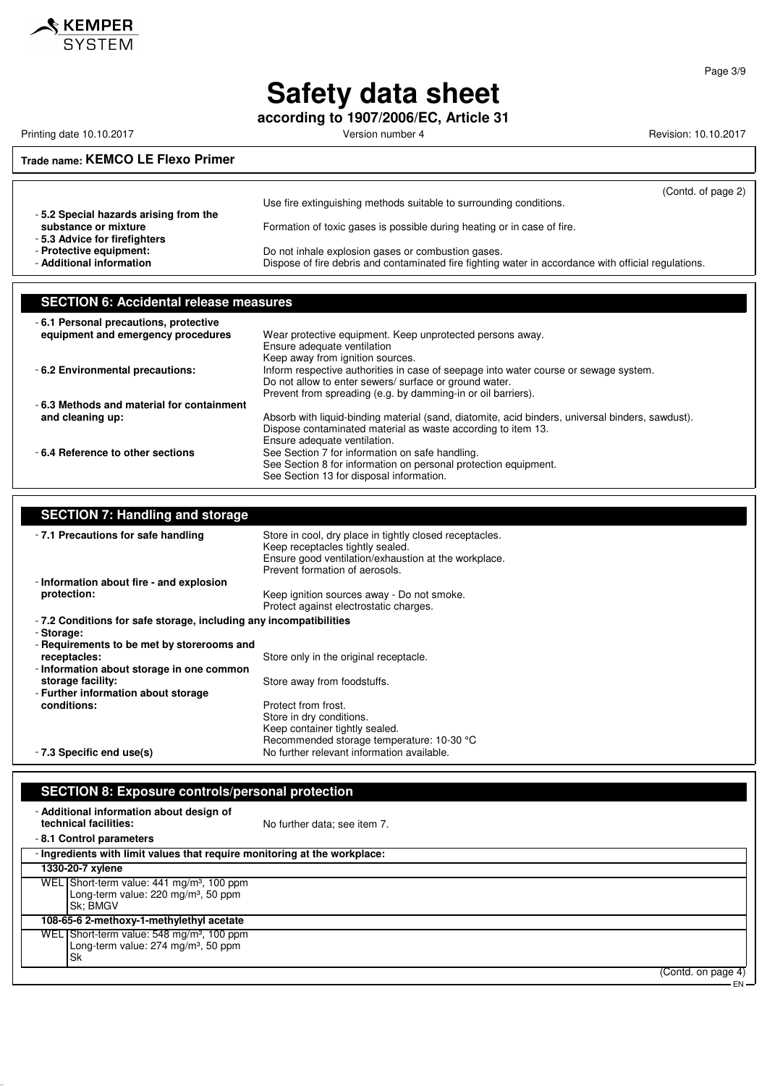

**according to 1907/2006/EC, Article 31**

Printing date 10.10.2017 **Version number 4** Version number 4 Revision: 10.10.2017

### **Trade name: KEMCO LE Flexo Primer**

|                                                                                     | Use fire extinguishing methods suitable to surrounding conditions.                                                                                         | (Contd. of page 2) |
|-------------------------------------------------------------------------------------|------------------------------------------------------------------------------------------------------------------------------------------------------------|--------------------|
| -5.2 Special hazards arising from the<br>substance or mixture                       | Formation of toxic gases is possible during heating or in case of fire.                                                                                    |                    |
| -5.3 Advice for firefighters<br>- Protective equipment:<br>- Additional information | Do not inhale explosion gases or combustion gases.<br>Dispose of fire debris and contaminated fire fighting water in accordance with official regulations. |                    |

### **SECTION 6: Accidental release measures**

| -6.1 Personal precautions, protective     |                                                                                                  |
|-------------------------------------------|--------------------------------------------------------------------------------------------------|
| equipment and emergency procedures        | Wear protective equipment. Keep unprotected persons away.                                        |
|                                           | Ensure adequate ventilation                                                                      |
|                                           | Keep away from ignition sources.                                                                 |
| -6.2 Environmental precautions:           | Inform respective authorities in case of seepage into water course or sewage system.             |
|                                           | Do not allow to enter sewers/ surface or ground water.                                           |
|                                           | Prevent from spreading (e.g. by damming-in or oil barriers).                                     |
| -6.3 Methods and material for containment |                                                                                                  |
| and cleaning up:                          | Absorb with liquid-binding material (sand, diatomite, acid binders, universal binders, sawdust). |
|                                           | Dispose contaminated material as waste according to item 13.                                     |
|                                           | Ensure adequate ventilation.                                                                     |
| -6.4 Reference to other sections          | See Section 7 for information on safe handling.                                                  |
|                                           | See Section 8 for information on personal protection equipment.                                  |
|                                           | See Section 13 for disposal information.                                                         |

#### **SECTION 7: Handling and storage**

| -7.1 Precautions for safe handling                                 | Store in cool, dry place in tightly closed receptacles.<br>Keep receptacles tightly sealed.<br>Ensure good ventilation/exhaustion at the workplace. |
|--------------------------------------------------------------------|-----------------------------------------------------------------------------------------------------------------------------------------------------|
|                                                                    | Prevent formation of aerosols.                                                                                                                      |
| - Information about fire - and explosion                           |                                                                                                                                                     |
| protection:                                                        | Keep ignition sources away - Do not smoke.<br>Protect against electrostatic charges.                                                                |
| - 7.2 Conditions for safe storage, including any incompatibilities |                                                                                                                                                     |
| - Storage:                                                         |                                                                                                                                                     |
| - Requirements to be met by storerooms and                         |                                                                                                                                                     |
| receptacles:                                                       | Store only in the original receptacle.                                                                                                              |
| - Information about storage in one common                          |                                                                                                                                                     |
| storage facility:                                                  | Store away from foodstuffs.                                                                                                                         |
| - Further information about storage                                |                                                                                                                                                     |
| conditions:                                                        | Protect from frost.                                                                                                                                 |
|                                                                    | Store in dry conditions.                                                                                                                            |
|                                                                    | Keep container tightly sealed.                                                                                                                      |
|                                                                    | Recommended storage temperature: 10-30 °C                                                                                                           |
| - 7.3 Specific end use(s)                                          | No further relevant information available.                                                                                                          |

### **SECTION 8: Exposure controls/personal protection**

| - Additional information about design of<br>technical facilities:                                                           | No further data; see item 7. |                    |
|-----------------------------------------------------------------------------------------------------------------------------|------------------------------|--------------------|
| -8.1 Control parameters                                                                                                     |                              |                    |
| - Ingredients with limit values that require monitoring at the workplace:                                                   |                              |                    |
| 1330-20-7 xylene                                                                                                            |                              |                    |
| WEL Short-term value: 441 mg/m <sup>3</sup> , 100 ppm<br>Long-term value: 220 mg/m <sup>3</sup> , 50 ppm<br><b>Sk: BMGV</b> |                              |                    |
| 108-65-6 2-methoxy-1-methylethyl acetate                                                                                    |                              |                    |
| WEL Short-term value: 548 mg/m <sup>3</sup> , 100 ppm<br>Long-term value: 274 mg/m <sup>3</sup> , 50 ppm<br>Sk              |                              |                    |
|                                                                                                                             |                              | (Contd. on page 4) |

Page 3/9

EN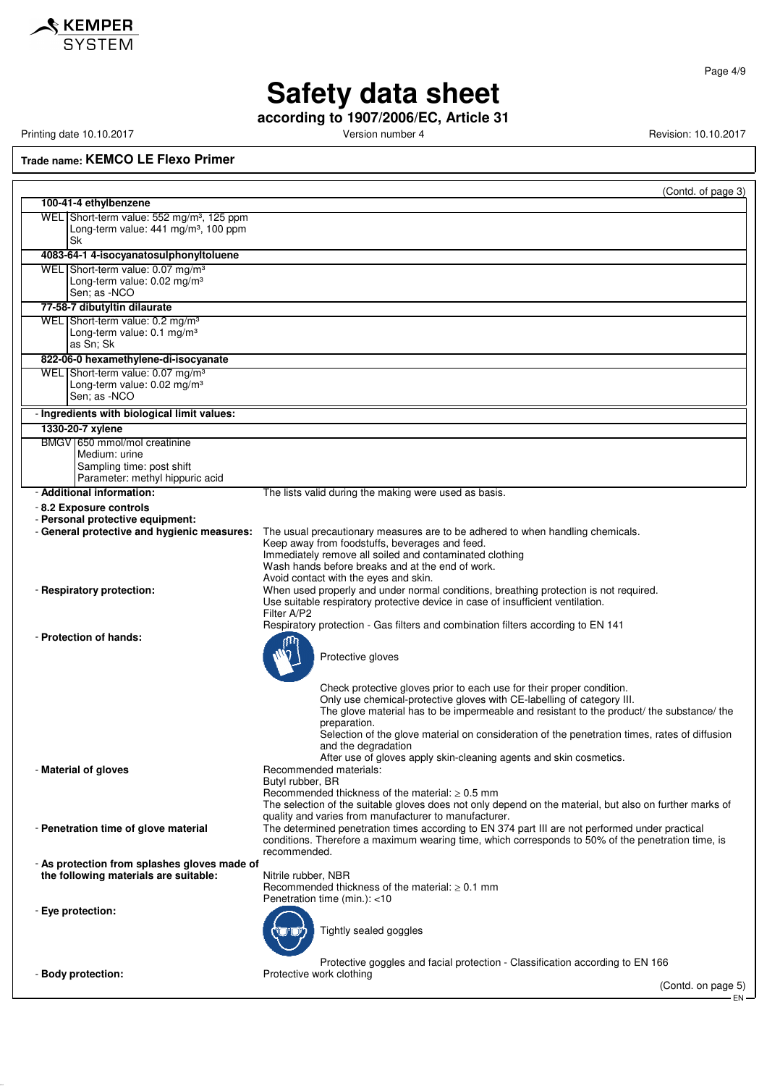

**according to 1907/2006/EC, Article 31**

Printing date 10.10.2017 **Version number 4** Version number 4 Revision: 10.10.2017

**Trade name: KEMCO LE Flexo Primer**

|                                                                                                                | (Contd. of page 3)                                                                                                                                                                                                                                                                                                                                                                        |
|----------------------------------------------------------------------------------------------------------------|-------------------------------------------------------------------------------------------------------------------------------------------------------------------------------------------------------------------------------------------------------------------------------------------------------------------------------------------------------------------------------------------|
| 100-41-4 ethylbenzene                                                                                          |                                                                                                                                                                                                                                                                                                                                                                                           |
| WEL Short-term value: 552 mg/m <sup>3</sup> , 125 ppm<br>Long-term value: $441 \text{ mg/m}^3$ , 100 ppm<br>Sk |                                                                                                                                                                                                                                                                                                                                                                                           |
| 4083-64-1 4-isocyanatosulphonyltoluene                                                                         |                                                                                                                                                                                                                                                                                                                                                                                           |
| WEL Short-term value: 0.07 mg/m <sup>3</sup><br>Long-term value: 0.02 mg/m <sup>3</sup><br>Sen; as -NCO        |                                                                                                                                                                                                                                                                                                                                                                                           |
| 77-58-7 dibutyltin dilaurate                                                                                   |                                                                                                                                                                                                                                                                                                                                                                                           |
| WEL Short-term value: 0.2 mg/m <sup>3</sup><br>Long-term value: 0.1 mg/m <sup>3</sup><br>as Sn: Sk             |                                                                                                                                                                                                                                                                                                                                                                                           |
| 822-06-0 hexamethylene-di-isocyanate                                                                           |                                                                                                                                                                                                                                                                                                                                                                                           |
| WEL Short-term value: 0.07 mg/m <sup>3</sup><br>Long-term value: 0.02 mg/m <sup>3</sup><br>Sen: as -NCO        |                                                                                                                                                                                                                                                                                                                                                                                           |
| - Ingredients with biological limit values:                                                                    |                                                                                                                                                                                                                                                                                                                                                                                           |
| 1330-20-7 xylene                                                                                               |                                                                                                                                                                                                                                                                                                                                                                                           |
| BMGV 650 mmol/mol creatinine<br>Medium: urine<br>Sampling time: post shift<br>Parameter: methyl hippuric acid  |                                                                                                                                                                                                                                                                                                                                                                                           |
| - Additional information:                                                                                      | The lists valid during the making were used as basis.                                                                                                                                                                                                                                                                                                                                     |
| - 8.2 Exposure controls<br>- Personal protective equipment:<br>- General protective and hygienic measures:     | The usual precautionary measures are to be adhered to when handling chemicals.<br>Keep away from foodstuffs, beverages and feed.                                                                                                                                                                                                                                                          |
| - Respiratory protection:                                                                                      | Immediately remove all soiled and contaminated clothing<br>Wash hands before breaks and at the end of work.<br>Avoid contact with the eyes and skin.<br>When used properly and under normal conditions, breathing protection is not required.<br>Use suitable respiratory protective device in case of insufficient ventilation.<br>Filter A/P2                                           |
| - Protection of hands:                                                                                         | Respiratory protection - Gas filters and combination filters according to EN 141<br>Protective gloves                                                                                                                                                                                                                                                                                     |
|                                                                                                                | Check protective gloves prior to each use for their proper condition.<br>Only use chemical-protective gloves with CE-labelling of category III.<br>The glove material has to be impermeable and resistant to the product/ the substance/ the<br>preparation.<br>Selection of the glove material on consideration of the penetration times, rates of diffusion<br>and the degradation      |
| - Material of gloves                                                                                           | After use of gloves apply skin-cleaning agents and skin cosmetics.<br>Recommended materials:<br>Butyl rubber, BR<br>Recommended thickness of the material: $\geq 0.5$ mm                                                                                                                                                                                                                  |
| - Penetration time of glove material                                                                           | The selection of the suitable gloves does not only depend on the material, but also on further marks of<br>quality and varies from manufacturer to manufacturer.<br>The determined penetration times according to EN 374 part III are not performed under practical<br>conditions. Therefore a maximum wearing time, which corresponds to 50% of the penetration time, is<br>recommended. |
| - As protection from splashes gloves made of<br>the following materials are suitable:                          | Nitrile rubber, NBR<br>Recommended thickness of the material: $\geq 0.1$ mm<br>Penetration time (min.): <10                                                                                                                                                                                                                                                                               |
| - Eye protection:                                                                                              | Tightly sealed goggles                                                                                                                                                                                                                                                                                                                                                                    |
| - Body protection:                                                                                             | Protective goggles and facial protection - Classification according to EN 166<br>Protective work clothing<br>(Contd. on page 5)                                                                                                                                                                                                                                                           |
|                                                                                                                |                                                                                                                                                                                                                                                                                                                                                                                           |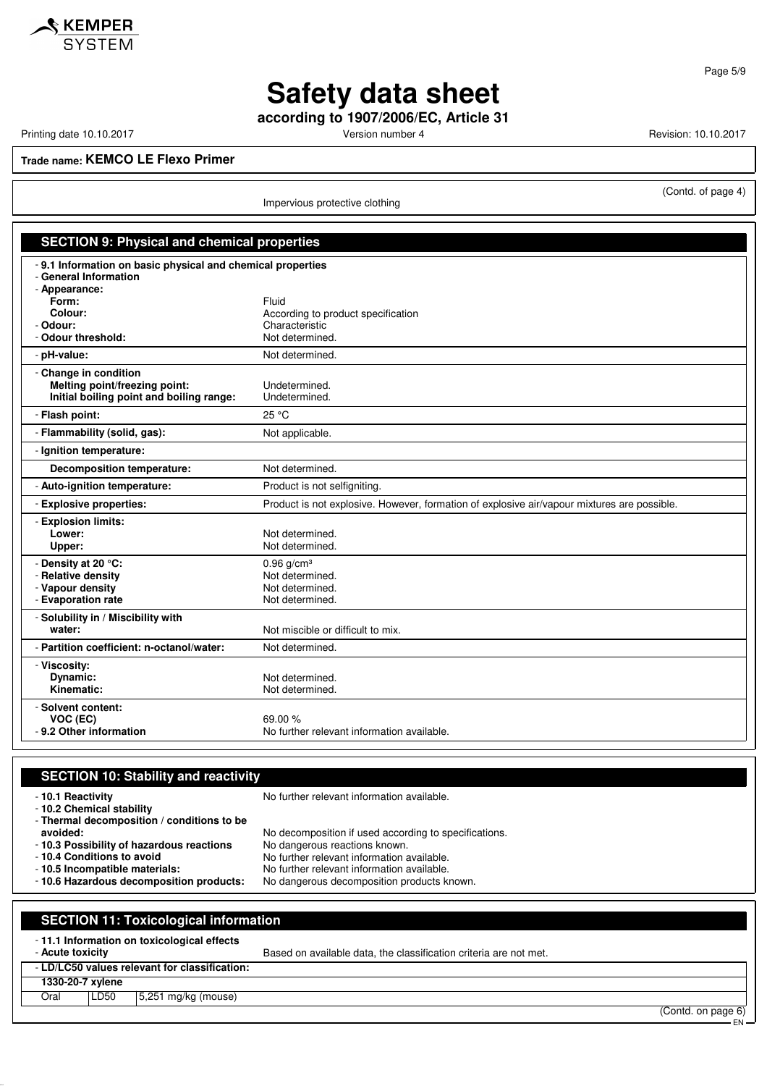

**according to 1907/2006/EC, Article 31**

Printing date 10.10.2017 **Printing date 10.10.2017** Version number 4 Revision: 10.10.2017

(Contd. of page 4)

**Trade name: KEMCO LE Flexo Primer**

Impervious protective clothing

| <b>SECTION 9: Physical and chemical properties</b>                                                                                                          |                                                                                             |  |  |
|-------------------------------------------------------------------------------------------------------------------------------------------------------------|---------------------------------------------------------------------------------------------|--|--|
| - 9.1 Information on basic physical and chemical properties<br>- General Information<br>- Appearance:<br>Form:<br>Colour:<br>- Odour:<br>- Odour threshold: | Fluid<br>According to product specification<br>Characteristic<br>Not determined.            |  |  |
| - pH-value:                                                                                                                                                 | Not determined.                                                                             |  |  |
| - Change in condition<br>Melting point/freezing point:<br>Initial boiling point and boiling range:                                                          | Undetermined.<br>Undetermined.                                                              |  |  |
| - Flash point:                                                                                                                                              | 25 °C                                                                                       |  |  |
| - Flammability (solid, gas):                                                                                                                                | Not applicable.                                                                             |  |  |
| - Ignition temperature:                                                                                                                                     |                                                                                             |  |  |
| Decomposition temperature:                                                                                                                                  | Not determined.                                                                             |  |  |
| - Auto-ignition temperature:                                                                                                                                | Product is not selfigniting.                                                                |  |  |
| - Explosive properties:                                                                                                                                     | Product is not explosive. However, formation of explosive air/vapour mixtures are possible. |  |  |
| - Explosion limits:<br>Lower:<br>Upper:                                                                                                                     | Not determined.<br>Not determined.                                                          |  |  |
| - Density at 20 °C:<br>- Relative density<br>- Vapour density<br>- Evaporation rate                                                                         | $0.96$ g/cm <sup>3</sup><br>Not determined.<br>Not determined.<br>Not determined.           |  |  |
| - Solubility in / Miscibility with<br>water:                                                                                                                | Not miscible or difficult to mix.                                                           |  |  |
| - Partition coefficient: n-octanol/water:                                                                                                                   | Not determined.                                                                             |  |  |
| - Viscosity:<br>Dynamic:<br>Kinematic:                                                                                                                      | Not determined.<br>Not determined.                                                          |  |  |
| - Solvent content:<br>VOC (EC)<br>- 9.2 Other information                                                                                                   | 69.00 %<br>No further relevant information available.                                       |  |  |

| <b>SECTION 10: Stability and reactivity</b>                                                  |                                                                   |  |  |  |
|----------------------------------------------------------------------------------------------|-------------------------------------------------------------------|--|--|--|
| - 10.1 Reactivity<br>- 10.2 Chemical stability<br>- Thermal decomposition / conditions to be | No further relevant information available.                        |  |  |  |
| avoided:                                                                                     | No decomposition if used according to specifications.             |  |  |  |
| -10.3 Possibility of hazardous reactions                                                     | No dangerous reactions known.                                     |  |  |  |
| - 10.4 Conditions to avoid                                                                   | No further relevant information available.                        |  |  |  |
| - 10.5 Incompatible materials:                                                               | No further relevant information available.                        |  |  |  |
| - 10.6 Hazardous decomposition products:                                                     | No dangerous decomposition products known.                        |  |  |  |
| <b>SECTION 11: Toxicological information</b>                                                 |                                                                   |  |  |  |
| -11.1 Information on toxicological effects<br>- Acute toxicity                               | Based on available data, the classification criteria are not met. |  |  |  |
| - LD/LC50 values relevant for classification:                                                |                                                                   |  |  |  |
| 1330-20-7 xylene                                                                             |                                                                   |  |  |  |

### Oral | LD50 | 5,251 mg/kg (mouse)

(Contd. on page 6)

EN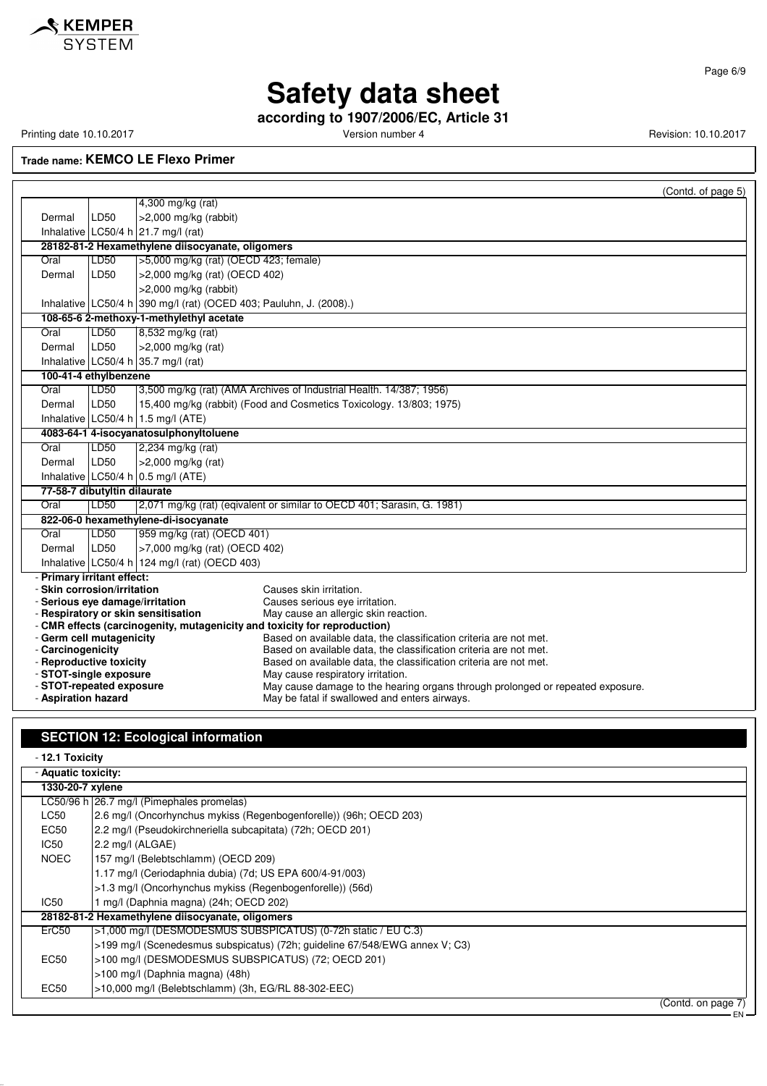

Page 6/9

### **Safety data sheet**

**according to 1907/2006/EC, Article 31**

Printing date 10.10.2017 **Version number 4** Version number 4 Revision: 10.10.2017

**Trade name: KEMCO LE Flexo Primer**

|                                                           |                                                                                                                  | (Contd. of page 5)                                                                                     |  |  |
|-----------------------------------------------------------|------------------------------------------------------------------------------------------------------------------|--------------------------------------------------------------------------------------------------------|--|--|
|                                                           |                                                                                                                  | 4,300 mg/kg (rat)                                                                                      |  |  |
| Dermal                                                    | LD50                                                                                                             | $>2,000$ mg/kg (rabbit)                                                                                |  |  |
|                                                           |                                                                                                                  | Inhalative LC50/4 h $21.7$ mg/l (rat)                                                                  |  |  |
|                                                           |                                                                                                                  | 28182-81-2 Hexamethylene diisocyanate, oligomers                                                       |  |  |
| Oral                                                      | LD50                                                                                                             | >5,000 mg/kg (rat) (OECD 423; female)                                                                  |  |  |
| Dermal                                                    | LD50                                                                                                             | >2,000 mg/kg (rat) (OECD 402)                                                                          |  |  |
|                                                           |                                                                                                                  | >2,000 mg/kg (rabbit)                                                                                  |  |  |
|                                                           |                                                                                                                  | Inhalative LC50/4 h 390 mg/l (rat) (OCED 403; Pauluhn, J. (2008).)                                     |  |  |
|                                                           |                                                                                                                  | 108-65-6 2-methoxy-1-methylethyl acetate                                                               |  |  |
| Oral                                                      | LD50                                                                                                             | 8,532 mg/kg (rat)                                                                                      |  |  |
| Dermal                                                    | LD50                                                                                                             | >2,000 mg/kg (rat)                                                                                     |  |  |
|                                                           |                                                                                                                  | Inhalative LC50/4 h 35.7 mg/l (rat)                                                                    |  |  |
| 100-41-4 ethylbenzene                                     |                                                                                                                  |                                                                                                        |  |  |
| Oral                                                      | LD50                                                                                                             | 3,500 mg/kg (rat) (AMA Archives of Industrial Health. 14/387; 1956)                                    |  |  |
| Dermal                                                    | LD50                                                                                                             | 15,400 mg/kg (rabbit) (Food and Cosmetics Toxicology. 13/803; 1975)                                    |  |  |
|                                                           |                                                                                                                  | Inhalative LC50/4 h 1.5 mg/l (ATE)                                                                     |  |  |
|                                                           |                                                                                                                  | 4083-64-1 4-isocyanatosulphonyltoluene                                                                 |  |  |
| Oral                                                      | LD50                                                                                                             | 2,234 mg/kg (rat)                                                                                      |  |  |
| Dermal                                                    | LD50                                                                                                             | >2,000 mg/kg (rat)                                                                                     |  |  |
|                                                           |                                                                                                                  | Inhalative LC50/4 h 0.5 mg/l (ATE)                                                                     |  |  |
| 77-58-7 dibutyltin dilaurate                              |                                                                                                                  |                                                                                                        |  |  |
| Oral                                                      | LD50                                                                                                             | 2,071 mg/kg (rat) (eqivalent or similar to OECD 401; Sarasin, G. 1981)                                 |  |  |
|                                                           |                                                                                                                  | 822-06-0 hexamethylene-di-isocyanate                                                                   |  |  |
| Oral                                                      | LD50                                                                                                             | 959 mg/kg (rat) (OECD 401)                                                                             |  |  |
| Dermal                                                    | LD50                                                                                                             | >7,000 mg/kg (rat) (OECD 402)                                                                          |  |  |
|                                                           |                                                                                                                  | Inhalative LC50/4 h 124 mg/l (rat) (OECD 403)                                                          |  |  |
| - Primary irritant effect:<br>- Skin corrosion/irritation |                                                                                                                  | Causes skin irritation.                                                                                |  |  |
| - Serious eye damage/irritation                           |                                                                                                                  | Causes serious eye irritation.                                                                         |  |  |
|                                                           |                                                                                                                  | May cause an allergic skin reaction.                                                                   |  |  |
|                                                           | - Respiratory or skin sensitisation<br>- CMR effects (carcinogenity, mutagenicity and toxicity for reproduction) |                                                                                                        |  |  |
| - Germ cell mutagenicity                                  |                                                                                                                  | Based on available data, the classification criteria are not met.                                      |  |  |
| - Carcinogenicity                                         |                                                                                                                  | Based on available data, the classification criteria are not met.                                      |  |  |
| - Reproductive toxicity<br>- STOT-single exposure         |                                                                                                                  | Based on available data, the classification criteria are not met.<br>May cause respiratory irritation. |  |  |
| - STOT-repeated exposure                                  |                                                                                                                  | May cause damage to the hearing organs through prolonged or repeated exposure.                         |  |  |
| - Aspiration hazard                                       |                                                                                                                  | May be fatal if swallowed and enters airways.                                                          |  |  |

### **SECTION 12: Ecological information**

- **12.1 Toxicity** - **Aquatic toxicity:**

 $\mathbf{r}$ 

| <b>Ayuativ toxicity.</b> |                                                                             |  |  |  |  |
|--------------------------|-----------------------------------------------------------------------------|--|--|--|--|
|                          | 1330-20-7 xylene                                                            |  |  |  |  |
|                          | LC50/96 h 26.7 mg/l (Pimephales promelas)                                   |  |  |  |  |
| LC50                     | 2.6 mg/l (Oncorhynchus mykiss (Regenbogenforelle)) (96h; OECD 203)          |  |  |  |  |
| EC50                     | 2.2 mg/l (Pseudokirchneriella subcapitata) (72h; OECD 201)                  |  |  |  |  |
| IC50                     | 2.2 mg/l (ALGAE)                                                            |  |  |  |  |
| <b>NOEC</b>              | 157 mg/l (Belebtschlamm) (OECD 209)                                         |  |  |  |  |
|                          | 1.17 mg/l (Ceriodaphnia dubia) (7d; US EPA 600/4-91/003)                    |  |  |  |  |
|                          | >1.3 mg/l (Oncorhynchus mykiss (Regenbogenforelle)) (56d)                   |  |  |  |  |
| IC50                     | 1 mg/l (Daphnia magna) (24h; OECD 202)                                      |  |  |  |  |
|                          | 28182-81-2 Hexamethylene diisocyanate, oligomers                            |  |  |  |  |
| ErC50                    | >1,000 mg/l (DESMODESMUS SUBSPICATUS) (0-72h static / EU C.3)               |  |  |  |  |
|                          | >199 mg/l (Scenedesmus subspicatus) (72h; guideline 67/548/EWG annex V; C3) |  |  |  |  |
| <b>EC50</b>              | >100 mg/l (DESMODESMUS SUBSPICATUS) (72; OECD 201)                          |  |  |  |  |
|                          | >100 mg/l (Daphnia magna) (48h)                                             |  |  |  |  |
| EC50                     | $>10,000$ mg/l (Belebtschlamm) (3h, EG/RL 88-302-EEC)                       |  |  |  |  |
|                          | $(Control$ on none $7)$                                                     |  |  |  |  |

(Contd. on page 7)

EN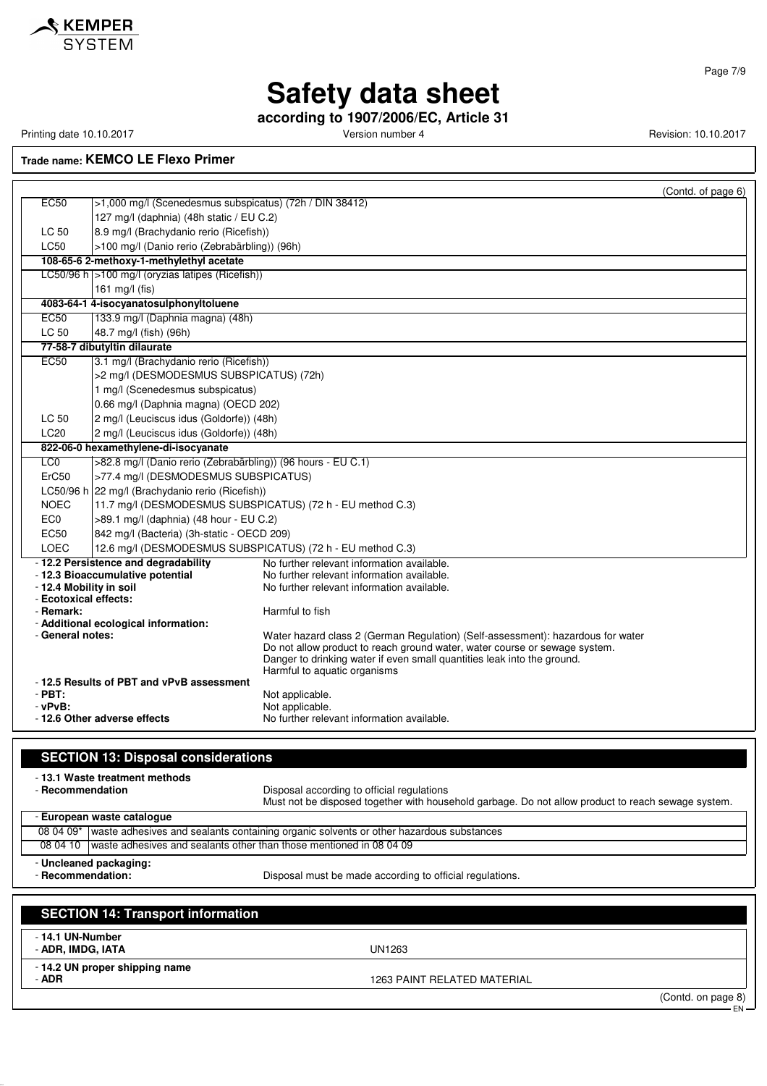

**according to 1907/2006/EC, Article 31**

Printing date 10.10.2017 **Printing date 10.10.2017** Version number 4 Revision: 10.10.2017

**Trade name: KEMCO LE Flexo Primer**

|                                                  |                                                                          |                                                                                                                                                       | (Contd. of page 6) |
|--------------------------------------------------|--------------------------------------------------------------------------|-------------------------------------------------------------------------------------------------------------------------------------------------------|--------------------|
| <b>EC50</b>                                      | >1,000 mg/l (Scenedesmus subspicatus) (72h / DIN 38412)                  |                                                                                                                                                       |                    |
|                                                  | 127 mg/l (daphnia) (48h static / EU C.2)                                 |                                                                                                                                                       |                    |
| LC 50                                            | 8.9 mg/l (Brachydanio rerio (Ricefish))                                  |                                                                                                                                                       |                    |
| <b>LC50</b>                                      | >100 mg/l (Danio rerio (Zebrabärbling)) (96h)                            |                                                                                                                                                       |                    |
|                                                  | 108-65-6 2-methoxy-1-methylethyl acetate                                 |                                                                                                                                                       |                    |
|                                                  | LC50/96 h >100 mg/l (oryzias latipes (Ricefish))                         |                                                                                                                                                       |                    |
|                                                  | 161 mg/l (fis)                                                           |                                                                                                                                                       |                    |
|                                                  | 4083-64-1 4-isocyanatosulphonyltoluene                                   |                                                                                                                                                       |                    |
| <b>EC50</b>                                      | 133.9 mg/l (Daphnia magna) (48h)                                         |                                                                                                                                                       |                    |
| LC 50                                            | 48.7 mg/l (fish) (96h)                                                   |                                                                                                                                                       |                    |
|                                                  | 77-58-7 dibutyltin dilaurate                                             |                                                                                                                                                       |                    |
| EC50                                             | 3.1 mg/l (Brachydanio rerio (Ricefish))                                  |                                                                                                                                                       |                    |
|                                                  | >2 mg/l (DESMODESMUS SUBSPICATUS) (72h)                                  |                                                                                                                                                       |                    |
|                                                  | 1 mg/l (Scenedesmus subspicatus)<br>0.66 mg/l (Daphnia magna) (OECD 202) |                                                                                                                                                       |                    |
| LC 50                                            | 2 mg/l (Leuciscus idus (Goldorfe)) (48h)                                 |                                                                                                                                                       |                    |
| LC <sub>20</sub>                                 | 2 mg/l (Leuciscus idus (Goldorfe)) (48h)                                 |                                                                                                                                                       |                    |
|                                                  | 822-06-0 hexamethylene-di-isocyanate                                     |                                                                                                                                                       |                    |
| LC <sub>0</sub>                                  | >82.8 mg/l (Danio rerio (Zebrabärbling)) (96 hours - EU C.1)             |                                                                                                                                                       |                    |
| ErC <sub>50</sub>                                | >77.4 mg/l (DESMODESMUS SUBSPICATUS)                                     |                                                                                                                                                       |                    |
|                                                  | LC50/96 h 22 mg/l (Brachydanio rerio (Ricefish))                         |                                                                                                                                                       |                    |
| <b>NOEC</b>                                      |                                                                          | 11.7 mg/l (DESMODESMUS SUBSPICATUS) (72 h - EU method C.3)                                                                                            |                    |
| EC <sub>0</sub>                                  | >89.1 mg/l (daphnia) (48 hour - EU C.2)                                  |                                                                                                                                                       |                    |
| EC50                                             | 842 mg/l (Bacteria) (3h-static - OECD 209)                               |                                                                                                                                                       |                    |
| <b>LOEC</b>                                      |                                                                          | 12.6 mg/l (DESMODESMUS SUBSPICATUS) (72 h - EU method C.3)                                                                                            |                    |
|                                                  | - 12.2 Persistence and degradability                                     | No further relevant information available.                                                                                                            |                    |
|                                                  | - 12.3 Bioaccumulative potential                                         | No further relevant information available.                                                                                                            |                    |
| - 12.4 Mobility in soil<br>- Ecotoxical effects: |                                                                          | No further relevant information available.                                                                                                            |                    |
| - Remark:                                        |                                                                          | Harmful to fish                                                                                                                                       |                    |
|                                                  | - Additional ecological information:                                     |                                                                                                                                                       |                    |
| - General notes:                                 |                                                                          | Water hazard class 2 (German Regulation) (Self-assessment): hazardous for water                                                                       |                    |
|                                                  |                                                                          | Do not allow product to reach ground water, water course or sewage system.<br>Danger to drinking water if even small quantities leak into the ground. |                    |
|                                                  |                                                                          | Harmful to aquatic organisms                                                                                                                          |                    |
|                                                  | -12.5 Results of PBT and vPvB assessment                                 |                                                                                                                                                       |                    |
| $-$ PBT:                                         |                                                                          | Not applicable.                                                                                                                                       |                    |
| $-vPvB$ :                                        | -12.6 Other adverse effects                                              | Not applicable.<br>No further relevant information available.                                                                                         |                    |
|                                                  |                                                                          |                                                                                                                                                       |                    |
|                                                  |                                                                          |                                                                                                                                                       |                    |
|                                                  | <b>SECTION 13: Disposal considerations</b>                               |                                                                                                                                                       |                    |
|                                                  | - 13.1 Waste treatment methods                                           |                                                                                                                                                       |                    |
| - Recommendation                                 |                                                                          | Disposal according to official regulations                                                                                                            |                    |
|                                                  |                                                                          | Must not be disposed together with household garbage. Do not allow product to reach sewage system.                                                    |                    |
|                                                  | - European waste catalogue                                               |                                                                                                                                                       |                    |
|                                                  |                                                                          | 08 04 09* waste adhesives and sealants containing organic solvents or other hazardous substances                                                      |                    |
| 08 04 10                                         |                                                                          | waste adhesives and sealants other than those mentioned in 08 04 09                                                                                   |                    |
|                                                  | - Uncleaned packaging:                                                   |                                                                                                                                                       |                    |
| - Recommendation:                                |                                                                          | Disposal must be made according to official regulations.                                                                                              |                    |
|                                                  |                                                                          |                                                                                                                                                       |                    |
|                                                  | <b>SECTION 14: Transport information</b>                                 |                                                                                                                                                       |                    |
|                                                  |                                                                          |                                                                                                                                                       |                    |
| - 14.1 UN-Number<br>- ADR, IMDG, IATA            |                                                                          | UN1263                                                                                                                                                |                    |
|                                                  |                                                                          |                                                                                                                                                       |                    |
|                                                  | -14.2 UN proper shipping name                                            |                                                                                                                                                       |                    |

- **ADR** 1263 PAINT RELATED MATERIAL

(Contd. on page 8) EN

Page 7/9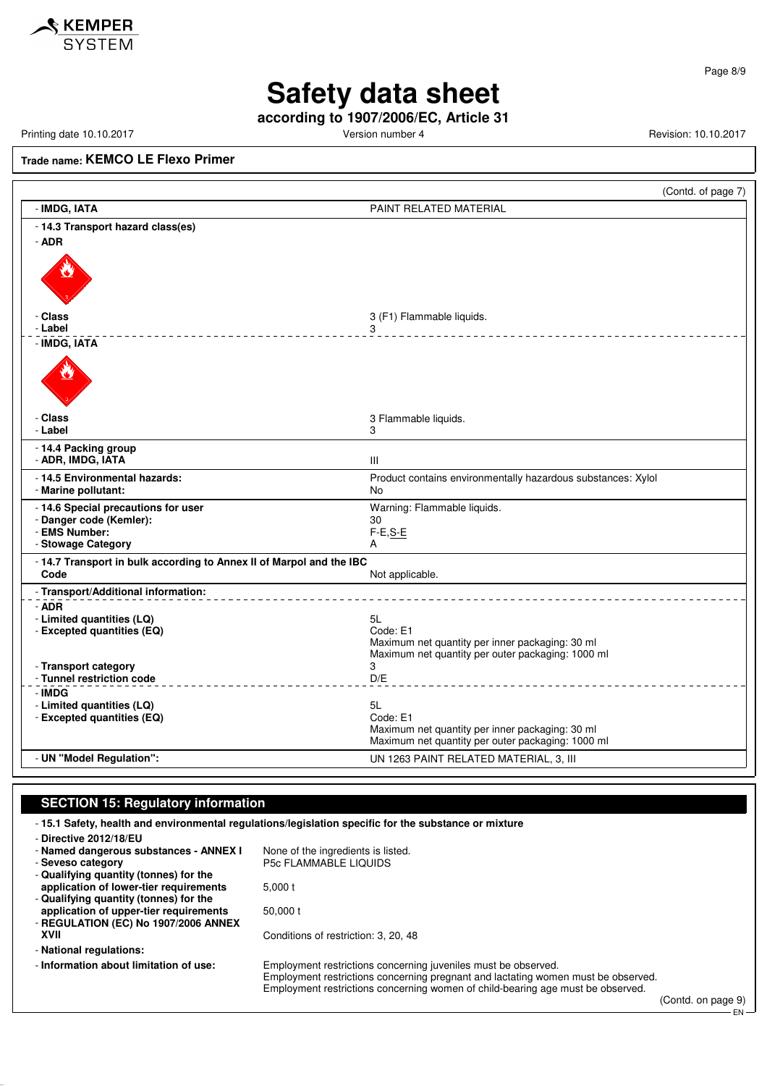

Page 8/9

## **Safety data sheet**

**according to 1907/2006/EC, Article 31**

Printing date 10.10.2017 **Version number 4 Version number 4** Revision: 10.10.2017

**Trade name: KEMCO LE Flexo Primer**

|                                                                      | (Contd. of page 7)                                                 |
|----------------------------------------------------------------------|--------------------------------------------------------------------|
| - IMDG, IATA                                                         | PAINT RELATED MATERIAL                                             |
| - 14.3 Transport hazard class(es)                                    |                                                                    |
| - ADR                                                                |                                                                    |
|                                                                      |                                                                    |
| - Class                                                              | 3 (F1) Flammable liquids.                                          |
| - Label                                                              | 3<br><u>.</u>                                                      |
| - IMDG, IATA                                                         |                                                                    |
|                                                                      |                                                                    |
| - Class                                                              | 3 Flammable liquids.                                               |
| - Label                                                              | 3                                                                  |
| - 14.4 Packing group<br>- ADR, IMDG, IATA                            | Ш                                                                  |
|                                                                      |                                                                    |
| - 14.5 Environmental hazards:<br>- Marine pollutant:                 | Product contains environmentally hazardous substances: Xylol<br>No |
| - 14.6 Special precautions for user                                  |                                                                    |
| - Danger code (Kemler):                                              | Warning: Flammable liquids.<br>30                                  |
| - EMS Number:                                                        | $F-E, S-E$                                                         |
| - Stowage Category                                                   | A                                                                  |
| - 14.7 Transport in bulk according to Annex II of Marpol and the IBC |                                                                    |
| Code                                                                 | Not applicable.                                                    |
| - Transport/Additional information:                                  |                                                                    |
| - ADR                                                                |                                                                    |
| - Limited quantities (LQ)                                            | 5L                                                                 |
| - Excepted quantities (EQ)                                           | Code: E1<br>Maximum net quantity per inner packaging: 30 ml        |
|                                                                      | Maximum net quantity per outer packaging: 1000 ml                  |
| - Transport category                                                 | 3                                                                  |
| - Tunnel restriction code                                            | D/E                                                                |
| - IMDG                                                               |                                                                    |
| - Limited quantities (LQ)                                            | 5L                                                                 |
| - Excepted quantities (EQ)                                           | Code: E1<br>Maximum net quantity per inner packaging: 30 ml        |
|                                                                      | Maximum net quantity per outer packaging: 1000 ml                  |
| - UN "Model Regulation":                                             | UN 1263 PAINT RELATED MATERIAL, 3, III                             |
|                                                                      |                                                                    |

#### **SECTION 15: Regulatory information**

- **15.1 Safety, health and environmental regulations/legislation specific for the substance or mixture** - **Directive 2012/18/EU** - **Named dangerous substances - ANNEX I** None of the ingredients is listed.<br>- Seveso category **P5c FLAMMABLE LIQUIDS** - **Seveso category** P5c FLAMMABLE LIQUIDS - **Qualifying quantity (tonnes) for the application of lower-tier requirements** 5,000 t - **Qualifying quantity (tonnes) for the application of upper-tier requirements** 50,000 t - **REGULATION (EC) No 1907/2006 ANNEX XVII** Conditions of restriction: 3, 20, 48 - **National regulations:** - **Information about limitation of use:** Employment restrictions concerning juveniles must be observed. Employment restrictions concerning pregnant and lactating women must be observed. Employment restrictions concerning women of child-bearing age must be observed.